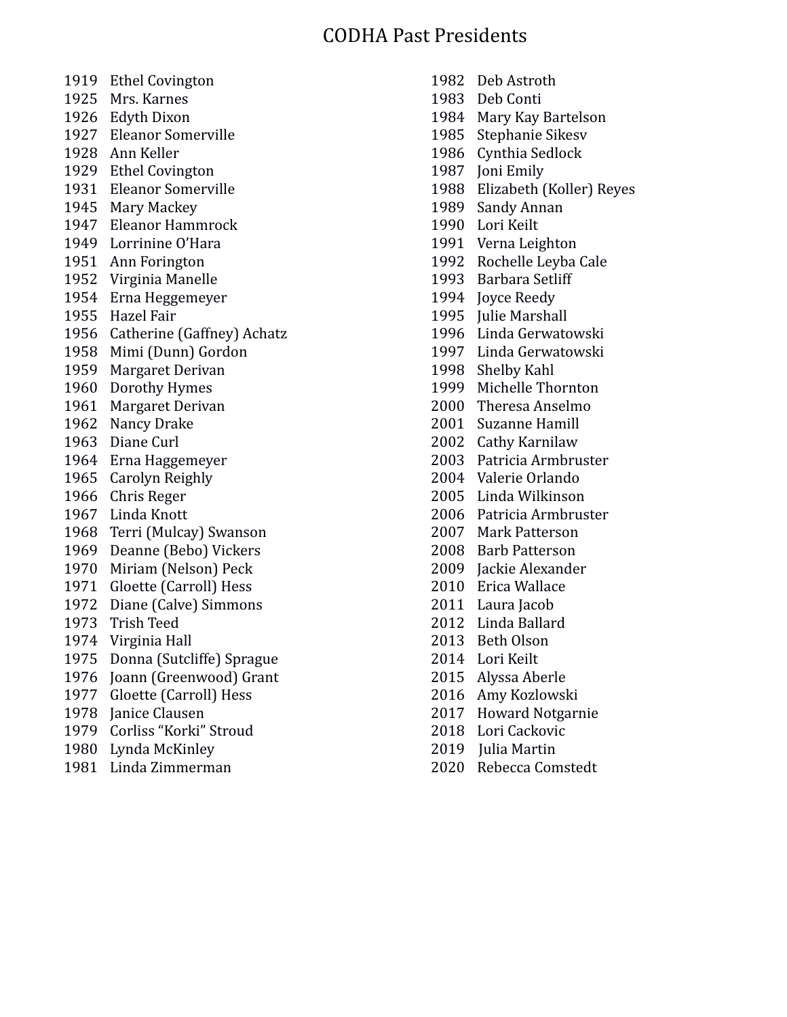# CODHA Past Presidents

- Ethel Covington
- Mrs. Karnes
- Edyth Dixon
- Eleanor Somerville
- Ann Keller
- Ethel Covington
- Eleanor Somerville
- Mary Mackey
- Eleanor Hammrock
- Lorrinine O'Hara
- Ann Forington
- Virginia Manelle
- Erna Heggemeyer
- Hazel Fair
- Catherine (Gaffney) Achatz
- Mimi (Dunn) Gordon
- Margaret Derivan
- Dorothy Hymes
- Margaret Derivan
- Nancy Drake
- Diane Curl
- Erna Haggemeyer
- Carolyn Reighly
- Chris Reger
- Linda Knott
- Terri (Mulcay) Swanson
- Deanne (Bebo) Vickers
- Miriam (Nelson) Peck
- Gloette (Carroll) Hess
- Diane (Calve) Simmons
- Trish Teed
- Virginia Hall
- Donna (Sutcliffe) Sprague
- Joann (Greenwood) Grant
- Gloette (Carroll) Hess
- Janice Clausen
- Corliss "Korki" Stroud
- Lynda McKinley
- Linda Zimmerman
- Deb Astroth Deb Conti Mary Kay Bartelson Stephanie Sikesv Cynthia Sedlock Joni Emily Elizabeth (Koller) Reyes Sandy Annan Lori Keilt Verna Leighton Rochelle Leyba Cale Barbara Setliff Joyce Reedy 1995 Iulie Marshall Linda Gerwatowski Linda Gerwatowski Shelby Kahl Michelle Thornton Theresa Anselmo Suzanne Hamill Cathy Karnilaw Patricia Armbruster Valerie Orlando Linda Wilkinson Patricia Armbruster Mark Patterson Barb Patterson Jackie Alexander Erica Wallace 2011 Laura Jacob Linda Ballard Beth Olson Lori Keilt Alyssa Aberle Amy Kozlowski Howard Notgarnie Lori Cackovic
- 2019 Julia Martin
- Rebecca Comstedt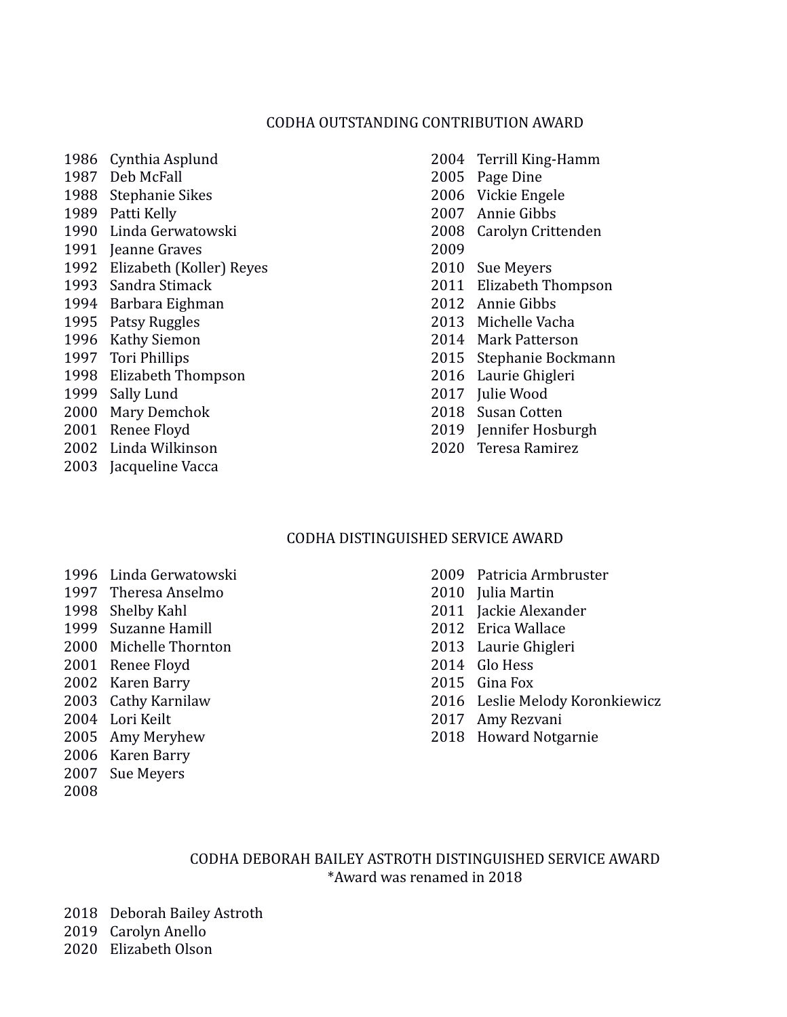#### CODHA OUTSTANDING CONTRIBUTION AWARD

 Cynthia Asplund Deb McFall Stephanie Sikes Patti Kelly Linda Gerwatowski 1991 Ieanne Graves Elizabeth (Koller) Reyes Sandra Stimack Barbara Eighman Patsy Ruggles Kathy Siemon Tori Phillips Elizabeth Thompson Sally Lund Mary Demchok Renee Floyd Linda Wilkinson Jacqueline Vacca

 Terrill King-Hamm Page Dine Vickie Engele Annie Gibbs Carolyn Crittenden Sue Meyers Elizabeth Thompson Annie Gibbs Michelle Vacha Mark Patterson Stephanie Bockmann Laurie Ghigleri Julie Wood Susan Cotten Jennifer Hosburgh Teresa Ramirez

## CODHA DISTINGUISHED SERVICE AWARD

- Linda Gerwatowski
- Theresa Anselmo Shelby Kahl Suzanne Hamill Michelle Thornton Renee Floyd Karen Barry
- Cathy Karnilaw
- Lori Keilt
- Amy Meryhew
- Karen Barry
- Sue Meyers
- 
- Patricia Armbruster
- Julia Martin
- Jackie Alexander
- Erica Wallace
- Laurie Ghigleri
- Glo Hess
- Gina Fox
- Leslie Melody Koronkiewicz
- Amy Rezvani
- Howard Notgarnie

## CODHA DEBORAH BAILEY ASTROTH DISTINGUISHED SERVICE AWARD \*Award was renamed in 2018

Deborah Bailey Astroth

Carolyn Anello

Elizabeth Olson